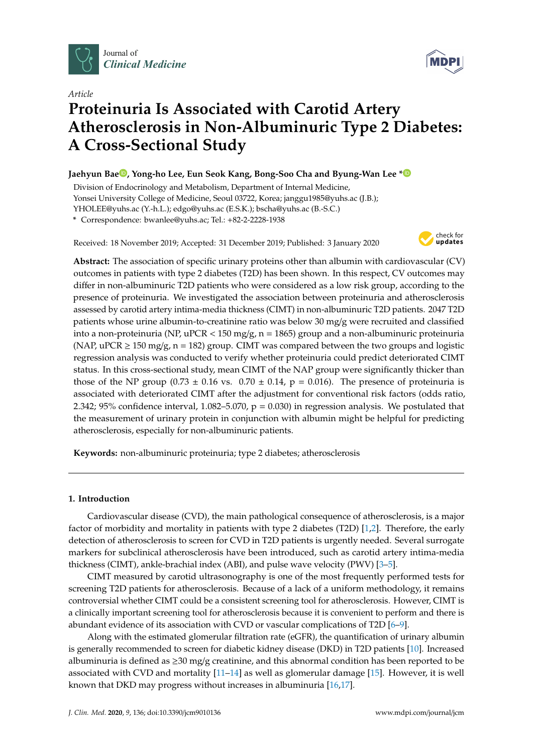

**MDPI** 

# *Article* **Proteinuria Is Associated with Carotid Artery Atherosclerosis in Non-Albuminuric Type 2 Diabetes: A Cross-Sectional Study**

# **Jaehyun Ba[e](https://orcid.org/0000-0002-3462-890X) , Yong-ho Lee, Eun Seok Kang, Bong-Soo Cha and Byung-Wan Lee [\\*](https://orcid.org/0000-0002-9899-4992)**

Division of Endocrinology and Metabolism, Department of Internal Medicine, Yonsei University College of Medicine, Seoul 03722, Korea; janggu1985@yuhs.ac (J.B.); YHOLEE@yuhs.ac (Y.-h.L.); edgo@yuhs.ac (E.S.K.); bscha@yuhs.ac (B.-S.C.)

**\*** Correspondence: bwanlee@yuhs.ac; Tel.: +82-2-2228-1938

Received: 18 November 2019; Accepted: 31 December 2019; Published: 3 January 2020



**Abstract:** The association of specific urinary proteins other than albumin with cardiovascular (CV) outcomes in patients with type 2 diabetes (T2D) has been shown. In this respect, CV outcomes may differ in non-albuminuric T2D patients who were considered as a low risk group, according to the presence of proteinuria. We investigated the association between proteinuria and atherosclerosis assessed by carotid artery intima-media thickness (CIMT) in non-albuminuric T2D patients. 2047 T2D patients whose urine albumin-to-creatinine ratio was below 30 mg/g were recruited and classified into a non-proteinuria (NP, uPCR < 150 mg/g, n = 1865) group and a non-albuminuric proteinuria (NAP, uPCR  $\geq$  150 mg/g, n = 182) group. CIMT was compared between the two groups and logistic regression analysis was conducted to verify whether proteinuria could predict deteriorated CIMT status. In this cross-sectional study, mean CIMT of the NAP group were significantly thicker than those of the NP group (0.73  $\pm$  0.16 vs. 0.70  $\pm$  0.14, p = 0.016). The presence of proteinuria is associated with deteriorated CIMT after the adjustment for conventional risk factors (odds ratio, 2.342; 95% confidence interval, 1.082–5.070,  $p = 0.030$ ) in regression analysis. We postulated that the measurement of urinary protein in conjunction with albumin might be helpful for predicting atherosclerosis, especially for non-albuminuric patients.

**Keywords:** non-albuminuric proteinuria; type 2 diabetes; atherosclerosis

## **1. Introduction**

Cardiovascular disease (CVD), the main pathological consequence of atherosclerosis, is a major factor of morbidity and mortality in patients with type 2 diabetes (T2D) [\[1](#page-7-0)[,2\]](#page-7-1). Therefore, the early detection of atherosclerosis to screen for CVD in T2D patients is urgently needed. Several surrogate markers for subclinical atherosclerosis have been introduced, such as carotid artery intima-media thickness (CIMT), ankle-brachial index (ABI), and pulse wave velocity (PWV) [\[3–](#page-7-2)[5\]](#page-7-3).

CIMT measured by carotid ultrasonography is one of the most frequently performed tests for screening T2D patients for atherosclerosis. Because of a lack of a uniform methodology, it remains controversial whether CIMT could be a consistent screening tool for atherosclerosis. However, CIMT is a clinically important screening tool for atherosclerosis because it is convenient to perform and there is abundant evidence of its association with CVD or vascular complications of T2D [\[6–](#page-7-4)[9\]](#page-7-5).

Along with the estimated glomerular filtration rate (eGFR), the quantification of urinary albumin is generally recommended to screen for diabetic kidney disease (DKD) in T2D patients [\[10\]](#page-7-6). Increased albuminuria is defined as  $\geq$ 30 mg/g creatinine, and this abnormal condition has been reported to be associated with CVD and mortality  $[11-14]$  $[11-14]$  as well as glomerular damage  $[15]$ . However, it is well known that DKD may progress without increases in albuminuria [\[16](#page-8-2)[,17\]](#page-8-3).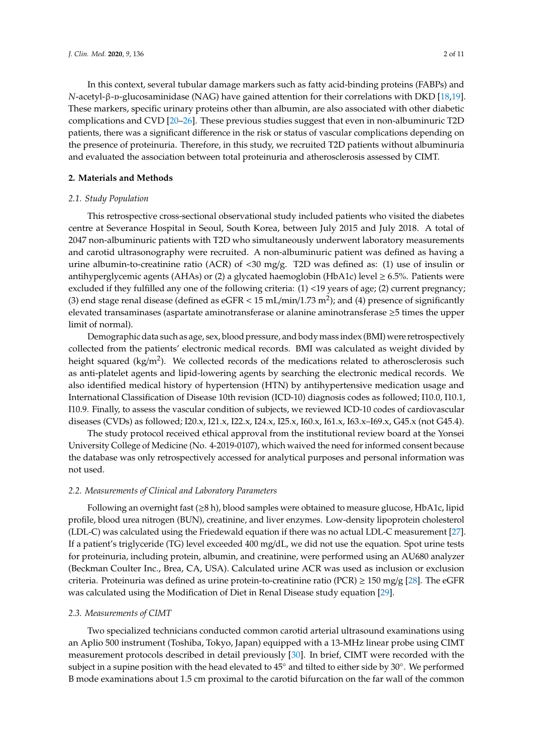In this context, several tubular damage markers such as fatty acid-binding proteins (FABPs) and *N*-acetyl-β-p-glucosaminidase (NAG) have gained attention for their correlations with DKD [\[18,](#page-8-4)[19\]](#page-8-5). These markers, specific urinary proteins other than albumin, are also associated with other diabetic complications and CVD [\[20–](#page-8-6)[26\]](#page-8-7). These previous studies suggest that even in non-albuminuric T2D patients, there was a significant difference in the risk or status of vascular complications depending on the presence of proteinuria. Therefore, in this study, we recruited T2D patients without albuminuria and evaluated the association between total proteinuria and atherosclerosis assessed by CIMT.

#### **2. Materials and Methods**

#### *2.1. Study Population*

This retrospective cross-sectional observational study included patients who visited the diabetes centre at Severance Hospital in Seoul, South Korea, between July 2015 and July 2018. A total of 2047 non-albuminuric patients with T2D who simultaneously underwent laboratory measurements and carotid ultrasonography were recruited. A non-albuminuric patient was defined as having a urine albumin-to-creatinine ratio (ACR) of <30 mg/g. T2D was defined as: (1) use of insulin or antihyperglycemic agents (AHAs) or (2) a glycated haemoglobin (HbA1c) level  $\geq 6.5\%$ . Patients were excluded if they fulfilled any one of the following criteria: (1) <19 years of age; (2) current pregnancy; (3) end stage renal disease (defined as eGFR  $< 15$  mL/min/1.73 m<sup>2</sup>); and (4) presence of significantly elevated transaminases (aspartate aminotransferase or alanine aminotransferase ≥5 times the upper limit of normal).

Demographic data such as age, sex, blood pressure, and body mass index (BMI) were retrospectively collected from the patients' electronic medical records. BMI was calculated as weight divided by height squared (kg/m<sup>2</sup>). We collected records of the medications related to atherosclerosis such as anti-platelet agents and lipid-lowering agents by searching the electronic medical records. We also identified medical history of hypertension (HTN) by antihypertensive medication usage and International Classification of Disease 10th revision (ICD-10) diagnosis codes as followed; I10.0, I10.1, I10.9. Finally, to assess the vascular condition of subjects, we reviewed ICD-10 codes of cardiovascular diseases (CVDs) as followed; I20.x, I21.x, I22.x, I24.x, I25.x, I60.x, I61.x, I63.x–I69.x, G45.x (not G45.4).

The study protocol received ethical approval from the institutional review board at the Yonsei University College of Medicine (No. 4-2019-0107), which waived the need for informed consent because the database was only retrospectively accessed for analytical purposes and personal information was not used.

#### *2.2. Measurements of Clinical and Laboratory Parameters*

Following an overnight fast  $(\geq 8 \text{ h})$ , blood samples were obtained to measure glucose, HbA1c, lipid profile, blood urea nitrogen (BUN), creatinine, and liver enzymes. Low-density lipoprotein cholesterol (LDL-C) was calculated using the Friedewald equation if there was no actual LDL-C measurement [\[27\]](#page-8-8). If a patient's triglyceride (TG) level exceeded 400 mg/dL, we did not use the equation. Spot urine tests for proteinuria, including protein, albumin, and creatinine, were performed using an AU680 analyzer (Beckman Coulter Inc., Brea, CA, USA). Calculated urine ACR was used as inclusion or exclusion criteria. Proteinuria was defined as urine protein-to-creatinine ratio (PCR)  $\geq$  150 mg/g [\[28\]](#page-8-9). The eGFR was calculated using the Modification of Diet in Renal Disease study equation [\[29\]](#page-9-0).

#### *2.3. Measurements of CIMT*

Two specialized technicians conducted common carotid arterial ultrasound examinations using an Aplio 500 instrument (Toshiba, Tokyo, Japan) equipped with a 13-MHz linear probe using CIMT measurement protocols described in detail previously [\[30\]](#page-9-1). In brief, CIMT were recorded with the subject in a supine position with the head elevated to 45◦ and tilted to either side by 30◦ . We performed B mode examinations about 1.5 cm proximal to the carotid bifurcation on the far wall of the common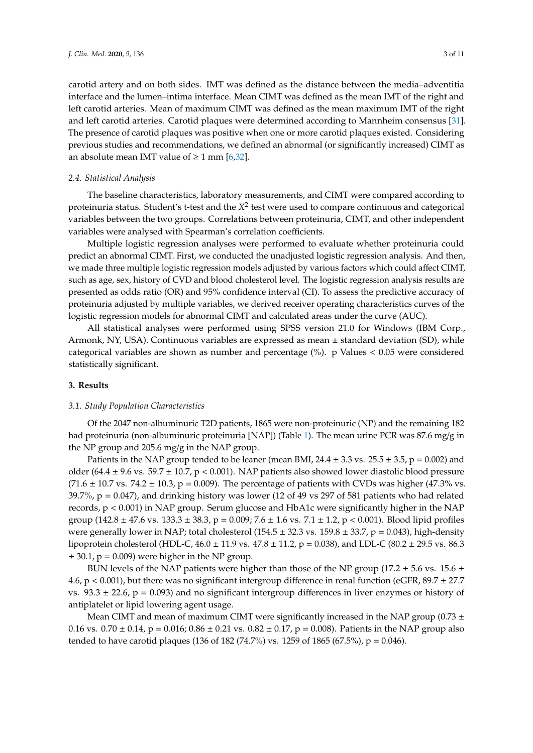carotid artery and on both sides. IMT was defined as the distance between the media–adventitia interface and the lumen–intima interface. Mean CIMT was defined as the mean IMT of the right and left carotid arteries. Mean of maximum CIMT was defined as the mean maximum IMT of the right and left carotid arteries. Carotid plaques were determined according to Mannheim consensus [\[31\]](#page-9-2). The presence of carotid plaques was positive when one or more carotid plaques existed. Considering previous studies and recommendations, we defined an abnormal (or significantly increased) CIMT as an absolute mean IMT value of  $\geq 1$  mm [\[6,](#page-7-4)[32\]](#page-9-3).

#### *2.4. Statistical Analysis*

The baseline characteristics, laboratory measurements, and CIMT were compared according to proteinuria status. Student's t-test and the *X* 2 test were used to compare continuous and categorical variables between the two groups. Correlations between proteinuria, CIMT, and other independent variables were analysed with Spearman's correlation coefficients.

Multiple logistic regression analyses were performed to evaluate whether proteinuria could predict an abnormal CIMT. First, we conducted the unadjusted logistic regression analysis. And then, we made three multiple logistic regression models adjusted by various factors which could affect CIMT, such as age, sex, history of CVD and blood cholesterol level. The logistic regression analysis results are presented as odds ratio (OR) and 95% confidence interval (CI). To assess the predictive accuracy of proteinuria adjusted by multiple variables, we derived receiver operating characteristics curves of the logistic regression models for abnormal CIMT and calculated areas under the curve (AUC).

All statistical analyses were performed using SPSS version 21.0 for Windows (IBM Corp., Armonk, NY, USA). Continuous variables are expressed as mean ± standard deviation (SD), while categorical variables are shown as number and percentage  $(\%)$ . p Values < 0.05 were considered statistically significant.

#### **3. Results**

#### *3.1. Study Population Characteristics*

Of the 2047 non-albuminuric T2D patients, 1865 were non-proteinuric (NP) and the remaining 182 had proteinuria (non-albuminuric proteinuria [NAP]) (Table [1\)](#page-3-0). The mean urine PCR was 87.6 mg/g in the NP group and 205.6 mg/g in the NAP group.

Patients in the NAP group tended to be leaner (mean BMI,  $24.4 \pm 3.3$  vs.  $25.5 \pm 3.5$ ,  $p = 0.002$ ) and older (64.4  $\pm$  9.6 vs. 59.7  $\pm$  10.7, p < 0.001). NAP patients also showed lower diastolic blood pressure  $(71.6 \pm 10.7 \text{ vs. } 74.2 \pm 10.3, p = 0.009)$ . The percentage of patients with CVDs was higher (47.3% vs. 39.7%, p = 0.047), and drinking history was lower (12 of 49 vs 297 of 581 patients who had related records, p < 0.001) in NAP group. Serum glucose and HbA1c were significantly higher in the NAP group (142.8 ± 47.6 vs. 133.3 ± 38.3, p = 0.009; 7.6 ± 1.6 vs. 7.1 ± 1.2, p < 0.001). Blood lipid profiles were generally lower in NAP; total cholesterol ( $154.5 \pm 32.3$  vs.  $159.8 \pm 33.7$ , p = 0.043), high-density lipoprotein cholesterol (HDL-C,  $46.0 \pm 11.9$  vs.  $47.8 \pm 11.2$ , p = 0.038), and LDL-C (80.2  $\pm$  29.5 vs. 86.3  $\pm$  30.1, p = 0.009) were higher in the NP group.

BUN levels of the NAP patients were higher than those of the NP group (17.2  $\pm$  5.6 vs. 15.6  $\pm$ 4.6,  $p < 0.001$ ), but there was no significant intergroup difference in renal function (eGFR,  $89.7 \pm 27.7$ ) vs.  $93.3 \pm 22.6$ ,  $p = 0.093$ ) and no significant intergroup differences in liver enzymes or history of antiplatelet or lipid lowering agent usage.

Mean CIMT and mean of maximum CIMT were significantly increased in the NAP group (0.73  $\pm$ 0.16 vs. 0.70  $\pm$  0.14, p = 0.016; 0.86  $\pm$  0.21 vs. 0.82  $\pm$  0.17, p = 0.008). Patients in the NAP group also tended to have carotid plaques (136 of 182 (74.7%) vs. 1259 of 1865 (67.5%),  $p = 0.046$ ).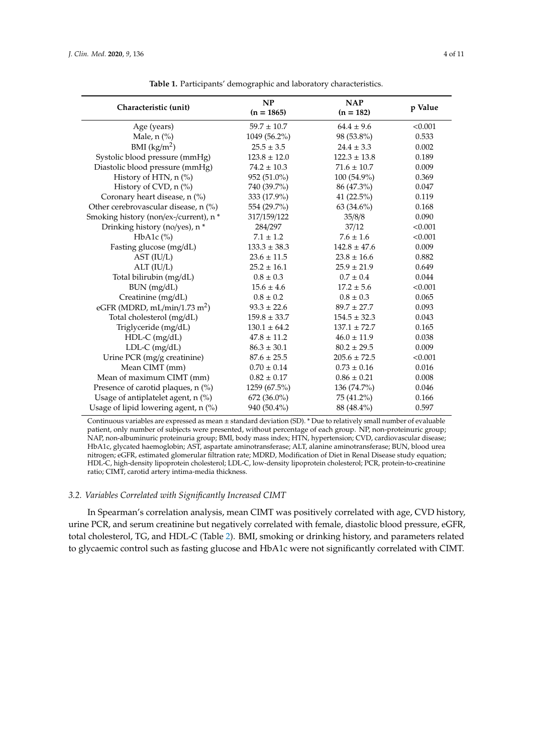<span id="page-3-0"></span>

| Characteristic (unit)                    | NP<br>$(n = 1865)$ | <b>NAP</b><br>$(n = 182)$ | p Value |
|------------------------------------------|--------------------|---------------------------|---------|
| Age (years)                              | $59.7 \pm 10.7$    | $64.4 \pm 9.6$            | < 0.001 |
| Male, $n$ (%)                            | 1049 (56.2%)       | 98 (53.8%)                | 0.533   |
| BMI $(kg/m2)$                            | $25.5 \pm 3.5$     | $24.4 \pm 3.3$            | 0.002   |
| Systolic blood pressure (mmHg)           | $123.8 \pm 12.0$   | $122.3 \pm 13.8$          | 0.189   |
| Diastolic blood pressure (mmHg)          | $74.2 \pm 10.3$    | $71.6 \pm 10.7$           | 0.009   |
| History of HTN, n (%)                    | 952 (51.0%)        | 100 (54.9%)               | 0.369   |
| History of CVD, n (%)                    | 740 (39.7%)        | 86 (47.3%)                | 0.047   |
| Coronary heart disease, n (%)            | 333 (17.9%)        | 41 (22.5%)                | 0.119   |
| Other cerebrovascular disease, n (%)     | 554 (29.7%)        | 63 (34.6%)                | 0.168   |
| Smoking history (non/ex-/current), n *   | 317/159/122        | 35/8/8                    | 0.090   |
| Drinking history (no/yes), n*            | 284/297            | 37/12                     | < 0.001 |
| HbA1c $(\%)$                             | $7.1 \pm 1.2$      | $7.6 \pm 1.6$             | < 0.001 |
| Fasting glucose (mg/dL)                  | $133.3 \pm 38.3$   | $142.8 \pm 47.6$          | 0.009   |
| AST (IU/L)                               | $23.6 \pm 11.5$    | $23.8 \pm 16.6$           | 0.882   |
| ALT (IU/L)                               | $25.2 \pm 16.1$    | $25.9 \pm 21.9$           | 0.649   |
| Total bilirubin (mg/dL)                  | $0.8 \pm 0.3$      | $0.7 \pm 0.4$             | 0.044   |
| BUN (mg/dL)                              | $15.6 \pm 4.6$     | $17.2 \pm 5.6$            | < 0.001 |
| Creatinine (mg/dL)                       | $0.8 \pm 0.2$      | $0.8 \pm 0.3$             | 0.065   |
| eGFR (MDRD, mL/min/1.73 m <sup>2</sup> ) | $93.3 \pm 22.6$    | $89.7 \pm 27.7$           | 0.093   |
| Total cholesterol (mg/dL)                | $159.8 \pm 33.7$   | $154.5 \pm 32.3$          | 0.043   |
| Triglyceride (mg/dL)                     | $130.1 \pm 64.2$   | $137.1 \pm 72.7$          | 0.165   |
| HDL-C (mg/dL)                            | $47.8 \pm 11.2$    | $46.0 \pm 11.9$           | 0.038   |
| $LDL-C$ (mg/dL)                          | $86.3 \pm 30.1$    | $80.2 \pm 29.5$           | 0.009   |
| Urine PCR (mg/g creatinine)              | $87.6 \pm 25.5$    | $205.6 \pm 72.5$          | < 0.001 |
| Mean CIMT (mm)                           | $0.70 \pm 0.14$    | $0.73 \pm 0.16$           | 0.016   |
| Mean of maximum CIMT (mm)                | $0.82 \pm 0.17$    | $0.86 \pm 0.21$           | 0.008   |
| Presence of carotid plaques, n (%)       | 1259 (67.5%)       | 136 (74.7%)               | 0.046   |
| Usage of antiplatelet agent, $n$ (%)     | 672 (36.0%)        | 75 (41.2%)                | 0.166   |
| Usage of lipid lowering agent, $n$ (%)   | 940 (50.4%)        | 88 (48.4%)                | 0.597   |

**Table 1.** Participants' demographic and laboratory characteristics.

Continuous variables are expressed as mean ± standard deviation (SD). \* Due to relatively small number of evaluable patient, only number of subjects were presented, without percentage of each group. NP, non-proteinuric group; NAP, non-albuminuric proteinuria group; BMI, body mass index; HTN, hypertension; CVD, cardiovascular disease; HbA1c, glycated haemoglobin; AST, aspartate aminotransferase; ALT, alanine aminotransferase; BUN, blood urea nitrogen; eGFR, estimated glomerular filtration rate; MDRD, Modification of Diet in Renal Disease study equation; HDL-C, high-density lipoprotein cholesterol; LDL-C, low-density lipoprotein cholesterol; PCR, protein-to-creatinine ratio; CIMT, carotid artery intima-media thickness.

#### *3.2. Variables Correlated with Significantly Increased CIMT*

In Spearman's correlation analysis, mean CIMT was positively correlated with age, CVD history, urine PCR, and serum creatinine but negatively correlated with female, diastolic blood pressure, eGFR, total cholesterol, TG, and HDL-C (Table [2\)](#page-4-0). BMI, smoking or drinking history, and parameters related to glycaemic control such as fasting glucose and HbA1c were not significantly correlated with CIMT.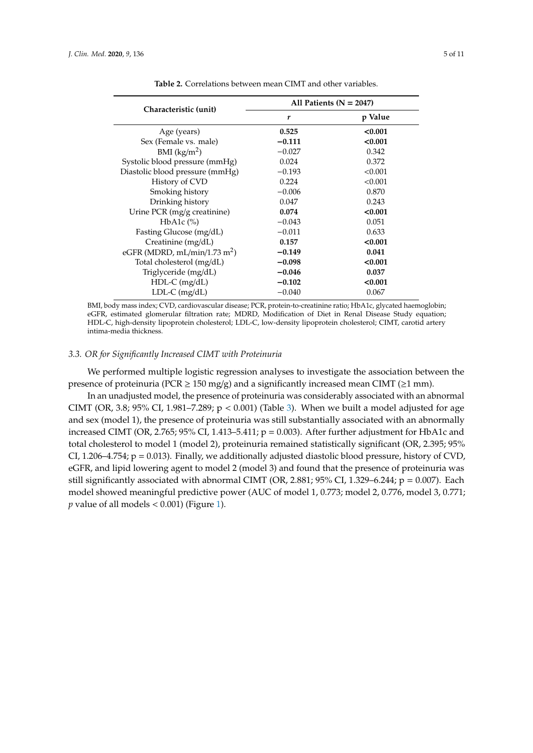<span id="page-4-0"></span>

|                                          | All Patients ( $N = 2047$ ) |         |  |
|------------------------------------------|-----------------------------|---------|--|
| Characteristic (unit)                    | r                           | p Value |  |
| Age (years)                              | 0.525                       | < 0.001 |  |
| Sex (Female vs. male)                    | $-0.111$                    | < 0.001 |  |
| BMI $(kg/m2)$                            | $-0.027$                    | 0.342   |  |
| Systolic blood pressure (mmHg)           | 0.024                       | 0.372   |  |
| Diastolic blood pressure (mmHg)          | $-0.193$                    | < 0.001 |  |
| History of CVD                           | 0.224                       | < 0.001 |  |
| Smoking history                          | $-0.006$                    | 0.870   |  |
| Drinking history                         | 0.047                       | 0.243   |  |
| Urine PCR (mg/g creatinine)              | 0.074                       | < 0.001 |  |
| HbA1c $(\%)$                             | $-0.043$                    | 0.051   |  |
| Fasting Glucose (mg/dL)                  | $-0.011$                    | 0.633   |  |
| Creatinine (mg/dL)                       | 0.157                       | < 0.001 |  |
| eGFR (MDRD, mL/min/1.73 m <sup>2</sup> ) | $-0.149$                    | 0.041   |  |
| Total cholesterol (mg/dL)                | $-0.098$                    | < 0.001 |  |
| Triglyceride (mg/dL)                     | $-0.046$                    | 0.037   |  |
| $HDL-C$ (mg/dL)                          | $-0.102$                    | < 0.001 |  |
| $LDL-C$ (mg/dL)                          | $-0.040$                    | 0.067   |  |

**Table 2.** Correlations between mean CIMT and other variables.

BMI, body mass index; CVD, cardiovascular disease; PCR, protein-to-creatinine ratio; HbA1c, glycated haemoglobin; eGFR, estimated glomerular filtration rate; MDRD, Modification of Diet in Renal Disease Study equation; HDL-C, high-density lipoprotein cholesterol; LDL-C, low-density lipoprotein cholesterol; CIMT, carotid artery intima-media thickness.

#### *3.3. OR for Significantly Increased CIMT with Proteinuria*

We performed multiple logistic regression analyses to investigate the association between the presence of proteinuria (PCR  $\geq$  150 mg/g) and a significantly increased mean CIMT ( $\geq$ 1 mm).

In an unadjusted model, the presence of proteinuria was considerably associated with an abnormal CIMT (OR, 3.8; 95% CI, 1.981–7.289;  $p < 0.001$ ) (Table [3\)](#page-5-0). When we built a model adjusted for age and sex (model 1), the presence of proteinuria was still substantially associated with an abnormally increased CIMT (OR, 2.765; 95% CI, 1.413–5.411;  $p = 0.003$ ). After further adjustment for HbA1c and total cholesterol to model 1 (model 2), proteinuria remained statistically significant (OR, 2.395; 95% CI, 1.206–4.754;  $p = 0.013$ ). Finally, we additionally adjusted diastolic blood pressure, history of CVD, eGFR, and lipid lowering agent to model 2 (model 3) and found that the presence of proteinuria was still significantly associated with abnormal CIMT (OR, 2.881; 95% CI, 1.329–6.244;  $p = 0.007$ ). Each model showed meaningful predictive power (AUC of model 1, 0.773; model 2, 0.776, model 3, 0.771;  $p$  value of all models  $< 0.001$ ) (Figure [1\)](#page-5-1).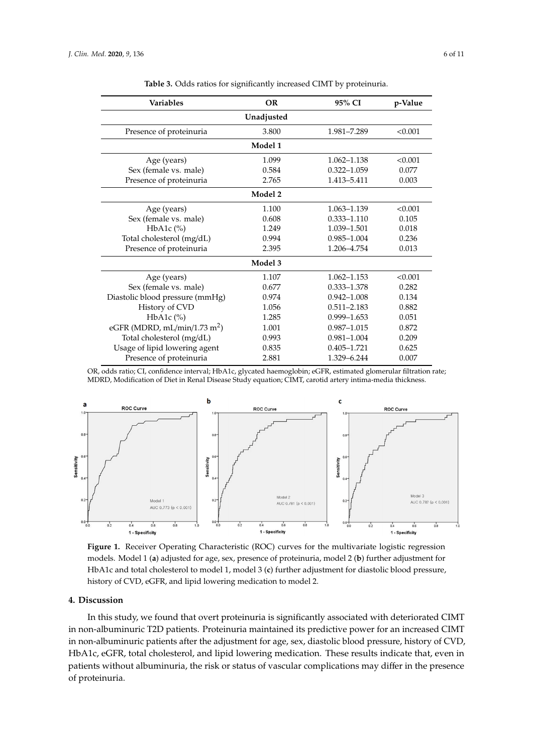<span id="page-5-0"></span>

| Variables                                | <b>OR</b>  | 95% CI          | p-Value |
|------------------------------------------|------------|-----------------|---------|
|                                          | Unadjusted |                 |         |
| Presence of proteinuria                  | 3.800      | 1.981-7.289     | < 0.001 |
|                                          | Model 1    |                 |         |
| Age (years)                              | 1.099      | 1.062-1.138     | < 0.001 |
| Sex (female vs. male)                    | 0.584      | $0.322 - 1.059$ | 0.077   |
| Presence of proteinuria                  | 2.765      | 1.413-5.411     | 0.003   |
|                                          | Model 2    |                 |         |
| Age (years)                              | 1.100      | 1.063-1.139     | < 0.001 |
| Sex (female vs. male)                    | 0.608      | $0.333 - 1.110$ | 0.105   |
| HbA1c $(\%)$                             | 1.249      | 1.039-1.501     | 0.018   |
| Total cholesterol (mg/dL)                | 0.994      | $0.985 - 1.004$ | 0.236   |
| Presence of proteinuria                  | 2.395      | 1.206-4.754     | 0.013   |
|                                          | Model 3    |                 |         |
| Age (years)                              | 1.107      | 1.062-1.153     | < 0.001 |
| Sex (female vs. male)                    | 0.677      | $0.333 - 1.378$ | 0.282   |
| Diastolic blood pressure (mmHg)          | 0.974      | $0.942 - 1.008$ | 0.134   |
| History of CVD                           | 1.056      | $0.511 - 2.183$ | 0.882   |
| $HbA1c$ (%)                              | 1.285      | $0.999 - 1.653$ | 0.051   |
| eGFR (MDRD, mL/min/1.73 m <sup>2</sup> ) | 1.001      | $0.987 - 1.015$ | 0.872   |
| Total cholesterol (mg/dL)                | 0.993      | $0.981 - 1.004$ | 0.209   |
| Usage of lipid lowering agent            | 0.835      | $0.405 - 1.721$ | 0.625   |
| Presence of proteinuria                  | 2.881      | 1.329-6.244     | 0.007   |

**Table 3.** Odds ratios for significantly increased CIMT by proteinuria.

OR, odds ratio; CI, confidence interval; HbA1c, glycated haemoglobin; eGFR, estimated glomerular filtration rate; MDRD, Modification of Diet in Renal Disease Study equation; CIMT, carotid artery intima-media thickness.

<span id="page-5-1"></span>

**Figure 1.** Receiver Operating Characteristic (ROC) curves for the multivariate logistic regression **Figure 1.** Receiver Operating Characteristic (ROC) curves for the multivariate logistic regression models. Model 1 (a) adjusted for age, sex, presence of proteinuria, model 2 (b) further adjustment for HbA1c and total cholesterol to model 1, model 3 (**c**) further adjustment for diastolic blood pressure, HbA1c and total cholesterol to model 1, model 3 (**c**) further adjustment for diastolic blood pressure, history of CVD, eGFR, and lipid lowering medication to model 2. history of CVD, eGFR, and lipid lowering medication to model 2.

#### **4. Discussion**

In this study, we found that overt proteinuria is significantly associated with deteriorated CIMT in non-albuminuric T2D patients. Proteinuria maintained its predictive power for an increased CIMT in non-albuminuric patients after the adjustment for age, sex, diastolic blood pressure, history of CVD, HbA1c, eGFR, total cholesterol, and lipid lowering medication. These results indicate that, even in patients without albuminuria, the risk or status of vascular complications may differ in the presence of proteinuria.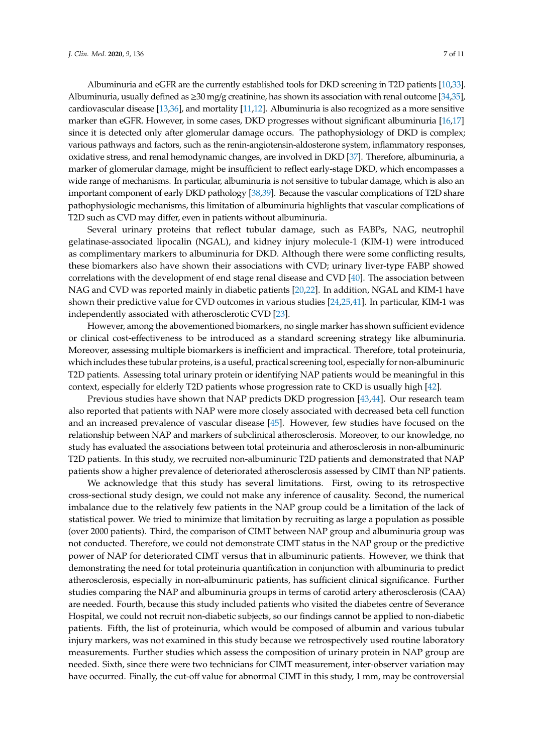Albuminuria and eGFR are the currently established tools for DKD screening in T2D patients [\[10](#page-7-6)[,33\]](#page-9-4). Albuminuria, usually defined as  $\geq 30$  mg/g creatinine, has shown its association with renal outcome [\[34,](#page-9-5)[35\]](#page-9-6), cardiovascular disease [\[13,](#page-8-10)[36\]](#page-9-7), and mortality [\[11,](#page-7-7)[12\]](#page-8-11). Albuminuria is also recognized as a more sensitive marker than eGFR. However, in some cases, DKD progresses without significant albuminuria [\[16](#page-8-2)[,17\]](#page-8-3) since it is detected only after glomerular damage occurs. The pathophysiology of DKD is complex; various pathways and factors, such as the renin-angiotensin-aldosterone system, inflammatory responses, oxidative stress, and renal hemodynamic changes, are involved in DKD [\[37\]](#page-9-8). Therefore, albuminuria, a marker of glomerular damage, might be insufficient to reflect early-stage DKD, which encompasses a wide range of mechanisms. In particular, albuminuria is not sensitive to tubular damage, which is also an important component of early DKD pathology [\[38,](#page-9-9)[39\]](#page-9-10). Because the vascular complications of T2D share pathophysiologic mechanisms, this limitation of albuminuria highlights that vascular complications of T2D such as CVD may differ, even in patients without albuminuria.

Several urinary proteins that reflect tubular damage, such as FABPs, NAG, neutrophil gelatinase-associated lipocalin (NGAL), and kidney injury molecule-1 (KIM-1) were introduced as complimentary markers to albuminuria for DKD. Although there were some conflicting results, these biomarkers also have shown their associations with CVD; urinary liver-type FABP showed correlations with the development of end stage renal disease and CVD [\[40\]](#page-9-11). The association between NAG and CVD was reported mainly in diabetic patients [\[20,](#page-8-6)[22\]](#page-8-12). In addition, NGAL and KIM-1 have shown their predictive value for CVD outcomes in various studies [\[24](#page-8-13)[,25](#page-8-14)[,41\]](#page-9-12). In particular, KIM-1 was independently associated with atherosclerotic CVD [\[23\]](#page-8-15).

However, among the abovementioned biomarkers, no single marker has shown sufficient evidence or clinical cost-effectiveness to be introduced as a standard screening strategy like albuminuria. Moreover, assessing multiple biomarkers is inefficient and impractical. Therefore, total proteinuria, which includes these tubular proteins, is a useful, practical screening tool, especially for non-albuminuric T2D patients. Assessing total urinary protein or identifying NAP patients would be meaningful in this context, especially for elderly T2D patients whose progression rate to CKD is usually high [\[42\]](#page-9-13).

Previous studies have shown that NAP predicts DKD progression [\[43](#page-9-14)[,44\]](#page-9-15). Our research team also reported that patients with NAP were more closely associated with decreased beta cell function and an increased prevalence of vascular disease [\[45\]](#page-9-16). However, few studies have focused on the relationship between NAP and markers of subclinical atherosclerosis. Moreover, to our knowledge, no study has evaluated the associations between total proteinuria and atherosclerosis in non-albuminuric T2D patients. In this study, we recruited non-albuminuric T2D patients and demonstrated that NAP patients show a higher prevalence of deteriorated atherosclerosis assessed by CIMT than NP patients.

We acknowledge that this study has several limitations. First, owing to its retrospective cross-sectional study design, we could not make any inference of causality. Second, the numerical imbalance due to the relatively few patients in the NAP group could be a limitation of the lack of statistical power. We tried to minimize that limitation by recruiting as large a population as possible (over 2000 patients). Third, the comparison of CIMT between NAP group and albuminuria group was not conducted. Therefore, we could not demonstrate CIMT status in the NAP group or the predictive power of NAP for deteriorated CIMT versus that in albuminuric patients. However, we think that demonstrating the need for total proteinuria quantification in conjunction with albuminuria to predict atherosclerosis, especially in non-albuminuric patients, has sufficient clinical significance. Further studies comparing the NAP and albuminuria groups in terms of carotid artery atherosclerosis (CAA) are needed. Fourth, because this study included patients who visited the diabetes centre of Severance Hospital, we could not recruit non-diabetic subjects, so our findings cannot be applied to non-diabetic patients. Fifth, the list of proteinuria, which would be composed of albumin and various tubular injury markers, was not examined in this study because we retrospectively used routine laboratory measurements. Further studies which assess the composition of urinary protein in NAP group are needed. Sixth, since there were two technicians for CIMT measurement, inter-observer variation may have occurred. Finally, the cut-off value for abnormal CIMT in this study, 1 mm, may be controversial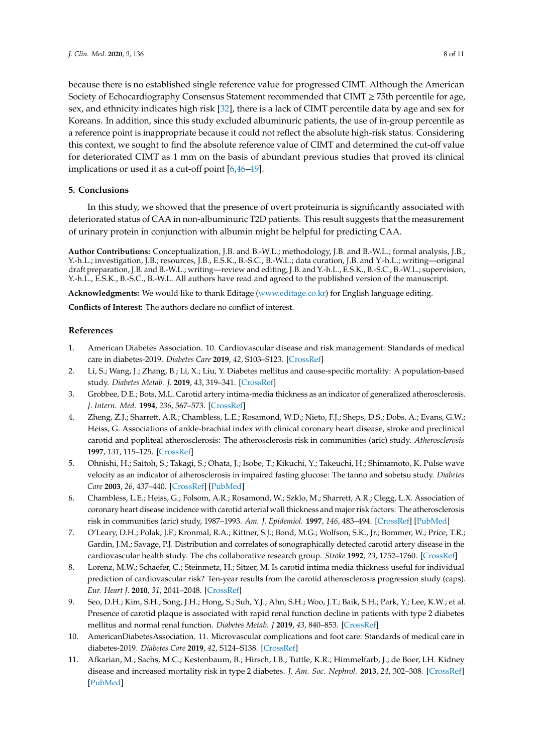because there is no established single reference value for progressed CIMT. Although the American Society of Echocardiography Consensus Statement recommended that CIMT ≥ 75th percentile for age, sex, and ethnicity indicates high risk [\[32\]](#page-9-3), there is a lack of CIMT percentile data by age and sex for Koreans. In addition, since this study excluded albuminuric patients, the use of in-group percentile as a reference point is inappropriate because it could not reflect the absolute high-risk status. Considering this context, we sought to find the absolute reference value of CIMT and determined the cut-off value for deteriorated CIMT as 1 mm on the basis of abundant previous studies that proved its clinical implications or used it as a cut-off point [\[6](#page-7-4)[,46](#page-9-17)[–49\]](#page-10-0).

### **5. Conclusions**

In this study, we showed that the presence of overt proteinuria is significantly associated with deteriorated status of CAA in non-albuminuric T2D patients. This result suggests that the measurement of urinary protein in conjunction with albumin might be helpful for predicting CAA.

**Author Contributions:** Conceptualization, J.B. and B.-W.L.; methodology, J.B. and B.-W.L.; formal analysis, J.B., Y.-h.L.; investigation, J.B.; resources, J.B., E.S.K., B.-S.C., B.-W.L.; data curation, J.B. and Y.-h.L.; writing—original draft preparation, J.B. and B.-W.L.; writing—review and editing, J.B. and Y.-h.L., E.S.K., B.-S.C., B.-W.L.; supervision, Y.-h.L., E.S.K., B.-S.C., B.-W.L. All authors have read and agreed to the published version of the manuscript.

**Acknowledgments:** We would like to thank Editage [\(www.editage.co.kr\)](www.editage.co.kr) for English language editing.

**Conflicts of Interest:** The authors declare no conflict of interest.

### **References**

- <span id="page-7-0"></span>1. American Diabetes Association. 10. Cardiovascular disease and risk management: Standards of medical care in diabetes-2019. *Diabetes Care* **2019**, *42*, S103–S123. [\[CrossRef\]](http://dx.doi.org/10.2337/dc19-S010)
- <span id="page-7-1"></span>2. Li, S.; Wang, J.; Zhang, B.; Li, X.; Liu, Y. Diabetes mellitus and cause-specific mortality: A population-based study. *Diabetes Metab. J.* **2019**, *43*, 319–341. [\[CrossRef\]](http://dx.doi.org/10.4093/dmj.2018.0060)
- <span id="page-7-2"></span>3. Grobbee, D.E.; Bots, M.L. Carotid artery intima-media thickness as an indicator of generalized atherosclerosis. *J. Intern. Med.* **1994**, *236*, 567–573. [\[CrossRef\]](http://dx.doi.org/10.1111/j.1365-2796.1994.tb00847.x)
- 4. Zheng, Z.J.; Sharrett, A.R.; Chambless, L.E.; Rosamond, W.D.; Nieto, F.J.; Sheps, D.S.; Dobs, A.; Evans, G.W.; Heiss, G. Associations of ankle-brachial index with clinical coronary heart disease, stroke and preclinical carotid and popliteal atherosclerosis: The atherosclerosis risk in communities (aric) study. *Atherosclerosis* **1997**, *131*, 115–125. [\[CrossRef\]](http://dx.doi.org/10.1016/S0021-9150(97)06089-9)
- <span id="page-7-3"></span>5. Ohnishi, H.; Saitoh, S.; Takagi, S.; Ohata, J.; Isobe, T.; Kikuchi, Y.; Takeuchi, H.; Shimamoto, K. Pulse wave velocity as an indicator of atherosclerosis in impaired fasting glucose: The tanno and sobetsu study. *Diabetes Care* **2003**, *26*, 437–440. [\[CrossRef\]](http://dx.doi.org/10.2337/diacare.26.2.437) [\[PubMed\]](http://www.ncbi.nlm.nih.gov/pubmed/12547876)
- <span id="page-7-4"></span>6. Chambless, L.E.; Heiss, G.; Folsom, A.R.; Rosamond, W.; Szklo, M.; Sharrett, A.R.; Clegg, L.X. Association of coronary heart disease incidence with carotid arterial wall thickness and major risk factors: The atherosclerosis risk in communities (aric) study, 1987–1993. *Am. J. Epidemiol.* **1997**, *146*, 483–494. [\[CrossRef\]](http://dx.doi.org/10.1093/oxfordjournals.aje.a009302) [\[PubMed\]](http://www.ncbi.nlm.nih.gov/pubmed/9290509)
- 7. O'Leary, D.H.; Polak, J.F.; Kronmal, R.A.; Kittner, S.J.; Bond, M.G.; Wolfson, S.K., Jr.; Bommer, W.; Price, T.R.; Gardin, J.M.; Savage, P.J. Distribution and correlates of sonographically detected carotid artery disease in the cardiovascular health study. The chs collaborative research group. *Stroke* **1992**, *23*, 1752–1760. [\[CrossRef\]](http://dx.doi.org/10.1161/01.STR.23.12.1752)
- 8. Lorenz, M.W.; Schaefer, C.; Steinmetz, H.; Sitzer, M. Is carotid intima media thickness useful for individual prediction of cardiovascular risk? Ten-year results from the carotid atherosclerosis progression study (caps). *Eur. Heart J.* **2010**, *31*, 2041–2048. [\[CrossRef\]](http://dx.doi.org/10.1093/eurheartj/ehq189)
- <span id="page-7-5"></span>9. Seo, D.H.; Kim, S.H.; Song, J.H.; Hong, S.; Suh, Y.J.; Ahn, S.H.; Woo, J.T.; Baik, S.H.; Park, Y.; Lee, K.W.; et al. Presence of carotid plaque is associated with rapid renal function decline in patients with type 2 diabetes mellitus and normal renal function. *Diabetes Metab. J* **2019**, *43*, 840–853. [\[CrossRef\]](http://dx.doi.org/10.4093/dmj.2018.0186)
- <span id="page-7-6"></span>10. AmericanDiabetesAssociation. 11. Microvascular complications and foot care: Standards of medical care in diabetes-2019. *Diabetes Care* **2019**, *42*, S124–S138. [\[CrossRef\]](http://dx.doi.org/10.2337/dc19-S011)
- <span id="page-7-7"></span>11. Afkarian, M.; Sachs, M.C.; Kestenbaum, B.; Hirsch, I.B.; Tuttle, K.R.; Himmelfarb, J.; de Boer, I.H. Kidney disease and increased mortality risk in type 2 diabetes. *J. Am. Soc. Nephrol.* **2013**, *24*, 302–308. [\[CrossRef\]](http://dx.doi.org/10.1681/ASN.2012070718) [\[PubMed\]](http://www.ncbi.nlm.nih.gov/pubmed/23362314)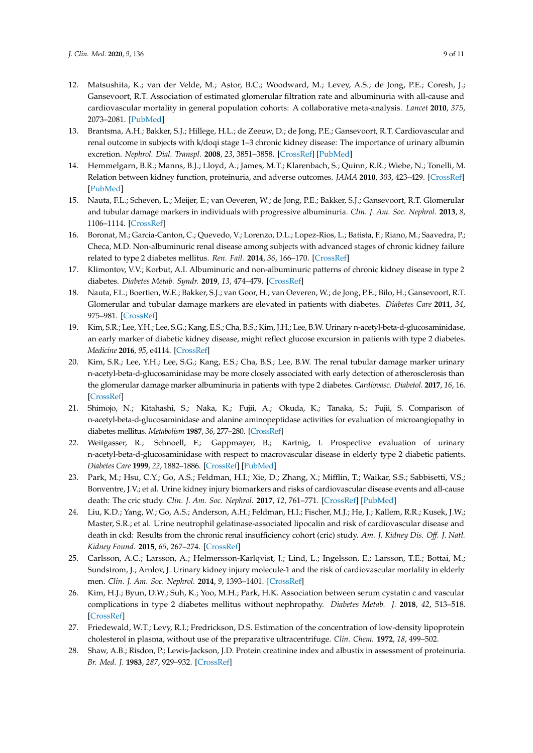- <span id="page-8-11"></span>12. Matsushita, K.; van der Velde, M.; Astor, B.C.; Woodward, M.; Levey, A.S.; de Jong, P.E.; Coresh, J.; Gansevoort, R.T. Association of estimated glomerular filtration rate and albuminuria with all-cause and cardiovascular mortality in general population cohorts: A collaborative meta-analysis. *Lancet* **2010**, *375*, 2073–2081. [\[PubMed\]](http://www.ncbi.nlm.nih.gov/pubmed/20483451)
- <span id="page-8-10"></span>13. Brantsma, A.H.; Bakker, S.J.; Hillege, H.L.; de Zeeuw, D.; de Jong, P.E.; Gansevoort, R.T. Cardiovascular and renal outcome in subjects with k/doqi stage 1–3 chronic kidney disease: The importance of urinary albumin excretion. *Nephrol. Dial. Transpl.* **2008**, *23*, 3851–3858. [\[CrossRef\]](http://dx.doi.org/10.1093/ndt/gfn356) [\[PubMed\]](http://www.ncbi.nlm.nih.gov/pubmed/18641082)
- <span id="page-8-0"></span>14. Hemmelgarn, B.R.; Manns, B.J.; Lloyd, A.; James, M.T.; Klarenbach, S.; Quinn, R.R.; Wiebe, N.; Tonelli, M. Relation between kidney function, proteinuria, and adverse outcomes. *JAMA* **2010**, *303*, 423–429. [\[CrossRef\]](http://dx.doi.org/10.1001/jama.2010.39) [\[PubMed\]](http://www.ncbi.nlm.nih.gov/pubmed/20124537)
- <span id="page-8-1"></span>15. Nauta, F.L.; Scheven, L.; Meijer, E.; van Oeveren, W.; de Jong, P.E.; Bakker, S.J.; Gansevoort, R.T. Glomerular and tubular damage markers in individuals with progressive albuminuria. *Clin. J. Am. Soc. Nephrol.* **2013**, *8*, 1106–1114. [\[CrossRef\]](http://dx.doi.org/10.2215/CJN.04510512)
- <span id="page-8-2"></span>16. Boronat, M.; Garcia-Canton, C.; Quevedo, V.; Lorenzo, D.L.; Lopez-Rios, L.; Batista, F.; Riano, M.; Saavedra, P.; Checa, M.D. Non-albuminuric renal disease among subjects with advanced stages of chronic kidney failure related to type 2 diabetes mellitus. *Ren. Fail.* **2014**, *36*, 166–170. [\[CrossRef\]](http://dx.doi.org/10.3109/0886022X.2013.835266)
- <span id="page-8-3"></span>17. Klimontov, V.V.; Korbut, A.I. Albuminuric and non-albuminuric patterns of chronic kidney disease in type 2 diabetes. *Diabetes Metab. Syndr.* **2019**, *13*, 474–479. [\[CrossRef\]](http://dx.doi.org/10.1016/j.dsx.2018.11.014)
- <span id="page-8-4"></span>18. Nauta, F.L.; Boertien, W.E.; Bakker, S.J.; van Goor, H.; van Oeveren, W.; de Jong, P.E.; Bilo, H.; Gansevoort, R.T. Glomerular and tubular damage markers are elevated in patients with diabetes. *Diabetes Care* **2011**, *34*, 975–981. [\[CrossRef\]](http://dx.doi.org/10.2337/dc10-1545)
- <span id="page-8-5"></span>19. Kim, S.R.; Lee, Y.H.; Lee, S.G.; Kang, E.S.; Cha, B.S.; Kim, J.H.; Lee, B.W. Urinary n-acetyl-beta-d-glucosaminidase, an early marker of diabetic kidney disease, might reflect glucose excursion in patients with type 2 diabetes. *Medicine* **2016**, *95*, e4114. [\[CrossRef\]](http://dx.doi.org/10.1097/MD.0000000000004114)
- <span id="page-8-6"></span>20. Kim, S.R.; Lee, Y.H.; Lee, S.G.; Kang, E.S.; Cha, B.S.; Lee, B.W. The renal tubular damage marker urinary n-acetyl-beta-d-glucosaminidase may be more closely associated with early detection of atherosclerosis than the glomerular damage marker albuminuria in patients with type 2 diabetes. *Cardiovasc. Diabetol.* **2017**, *16*, 16. [\[CrossRef\]](http://dx.doi.org/10.1186/s12933-017-0497-7)
- 21. Shimojo, N.; Kitahashi, S.; Naka, K.; Fujii, A.; Okuda, K.; Tanaka, S.; Fujii, S. Comparison of n-acetyl-beta-d-glucosaminidase and alanine aminopeptidase activities for evaluation of microangiopathy in diabetes mellitus. *Metabolism* **1987**, *36*, 277–280. [\[CrossRef\]](http://dx.doi.org/10.1016/0026-0495(87)90188-0)
- <span id="page-8-12"></span>22. Weitgasser, R.; Schnoell, F.; Gappmayer, B.; Kartnig, I. Prospective evaluation of urinary n-acetyl-beta-d-glucosaminidase with respect to macrovascular disease in elderly type 2 diabetic patients. *Diabetes Care* **1999**, *22*, 1882–1886. [\[CrossRef\]](http://dx.doi.org/10.2337/diacare.22.11.1882) [\[PubMed\]](http://www.ncbi.nlm.nih.gov/pubmed/10546024)
- <span id="page-8-15"></span>23. Park, M.; Hsu, C.Y.; Go, A.S.; Feldman, H.I.; Xie, D.; Zhang, X.; Mifflin, T.; Waikar, S.S.; Sabbisetti, V.S.; Bonventre, J.V.; et al. Urine kidney injury biomarkers and risks of cardiovascular disease events and all-cause death: The cric study. *Clin. J. Am. Soc. Nephrol.* **2017**, *12*, 761–771. [\[CrossRef\]](http://dx.doi.org/10.2215/CJN.08560816) [\[PubMed\]](http://www.ncbi.nlm.nih.gov/pubmed/28254771)
- <span id="page-8-13"></span>24. Liu, K.D.; Yang, W.; Go, A.S.; Anderson, A.H.; Feldman, H.I.; Fischer, M.J.; He, J.; Kallem, R.R.; Kusek, J.W.; Master, S.R.; et al. Urine neutrophil gelatinase-associated lipocalin and risk of cardiovascular disease and death in ckd: Results from the chronic renal insufficiency cohort (cric) study. *Am. J. Kidney Dis. O*ff*. J. Natl. Kidney Found.* **2015**, *65*, 267–274. [\[CrossRef\]](http://dx.doi.org/10.1053/j.ajkd.2014.07.025)
- <span id="page-8-14"></span>25. Carlsson, A.C.; Larsson, A.; Helmersson-Karlqvist, J.; Lind, L.; Ingelsson, E.; Larsson, T.E.; Bottai, M.; Sundstrom, J.; Arnlov, J. Urinary kidney injury molecule-1 and the risk of cardiovascular mortality in elderly men. *Clin. J. Am. Soc. Nephrol.* **2014**, *9*, 1393–1401. [\[CrossRef\]](http://dx.doi.org/10.2215/CJN.11901113)
- <span id="page-8-7"></span>26. Kim, H.J.; Byun, D.W.; Suh, K.; Yoo, M.H.; Park, H.K. Association between serum cystatin c and vascular complications in type 2 diabetes mellitus without nephropathy. *Diabetes Metab. J.* **2018**, *42*, 513–518. [\[CrossRef\]](http://dx.doi.org/10.4093/dmj.2018.0006)
- <span id="page-8-8"></span>27. Friedewald, W.T.; Levy, R.I.; Fredrickson, D.S. Estimation of the concentration of low-density lipoprotein cholesterol in plasma, without use of the preparative ultracentrifuge. *Clin. Chem.* **1972**, *18*, 499–502.
- <span id="page-8-9"></span>28. Shaw, A.B.; Risdon, P.; Lewis-Jackson, J.D. Protein creatinine index and albustix in assessment of proteinuria. *Br. Med. J.* **1983**, *287*, 929–932. [\[CrossRef\]](http://dx.doi.org/10.1136/bmj.287.6397.929)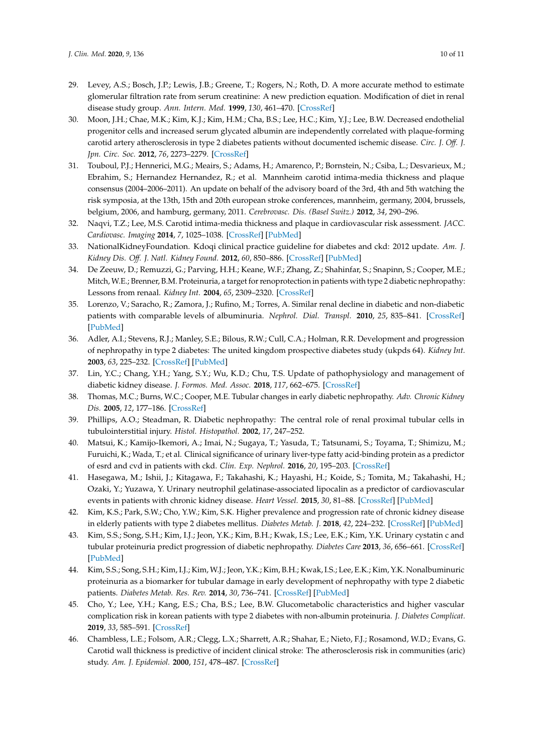- <span id="page-9-0"></span>29. Levey, A.S.; Bosch, J.P.; Lewis, J.B.; Greene, T.; Rogers, N.; Roth, D. A more accurate method to estimate glomerular filtration rate from serum creatinine: A new prediction equation. Modification of diet in renal disease study group. *Ann. Intern. Med.* **1999**, *130*, 461–470. [\[CrossRef\]](http://dx.doi.org/10.7326/0003-4819-130-6-199903160-00002)
- <span id="page-9-1"></span>30. Moon, J.H.; Chae, M.K.; Kim, K.J.; Kim, H.M.; Cha, B.S.; Lee, H.C.; Kim, Y.J.; Lee, B.W. Decreased endothelial progenitor cells and increased serum glycated albumin are independently correlated with plaque-forming carotid artery atherosclerosis in type 2 diabetes patients without documented ischemic disease. *Circ. J. O*ff*. J. Jpn. Circ. Soc.* **2012**, *76*, 2273–2279. [\[CrossRef\]](http://dx.doi.org/10.1253/circj.CJ-11-1499)
- <span id="page-9-2"></span>31. Touboul, P.J.; Hennerici, M.G.; Meairs, S.; Adams, H.; Amarenco, P.; Bornstein, N.; Csiba, L.; Desvarieux, M.; Ebrahim, S.; Hernandez Hernandez, R.; et al. Mannheim carotid intima-media thickness and plaque consensus (2004–2006–2011). An update on behalf of the advisory board of the 3rd, 4th and 5th watching the risk symposia, at the 13th, 15th and 20th european stroke conferences, mannheim, germany, 2004, brussels, belgium, 2006, and hamburg, germany, 2011. *Cerebrovasc. Dis. (Basel Switz.)* **2012**, *34*, 290–296.
- <span id="page-9-3"></span>32. Naqvi, T.Z.; Lee, M.S. Carotid intima-media thickness and plaque in cardiovascular risk assessment. *JACC. Cardiovasc. Imaging* **2014**, *7*, 1025–1038. [\[CrossRef\]](http://dx.doi.org/10.1016/j.jcmg.2013.11.014) [\[PubMed\]](http://www.ncbi.nlm.nih.gov/pubmed/25051948)
- <span id="page-9-4"></span>33. NationalKidneyFoundation. Kdoqi clinical practice guideline for diabetes and ckd: 2012 update. *Am. J. Kidney Dis. O*ff*. J. Natl. Kidney Found.* **2012**, *60*, 850–886. [\[CrossRef\]](http://dx.doi.org/10.1053/j.ajkd.2012.07.005) [\[PubMed\]](http://www.ncbi.nlm.nih.gov/pubmed/23067652)
- <span id="page-9-5"></span>34. De Zeeuw, D.; Remuzzi, G.; Parving, H.H.; Keane, W.F.; Zhang, Z.; Shahinfar, S.; Snapinn, S.; Cooper, M.E.; Mitch, W.E.; Brenner, B.M. Proteinuria, a target for renoprotection in patients with type 2 diabetic nephropathy: Lessons from renaal. *Kidney Int.* **2004**, *65*, 2309–2320. [\[CrossRef\]](http://dx.doi.org/10.1111/j.1523-1755.2004.00653.x)
- <span id="page-9-6"></span>35. Lorenzo, V.; Saracho, R.; Zamora, J.; Rufino, M.; Torres, A. Similar renal decline in diabetic and non-diabetic patients with comparable levels of albuminuria. *Nephrol. Dial. Transpl.* **2010**, *25*, 835–841. [\[CrossRef\]](http://dx.doi.org/10.1093/ndt/gfp475) [\[PubMed\]](http://www.ncbi.nlm.nih.gov/pubmed/19762600)
- <span id="page-9-7"></span>36. Adler, A.I.; Stevens, R.J.; Manley, S.E.; Bilous, R.W.; Cull, C.A.; Holman, R.R. Development and progression of nephropathy in type 2 diabetes: The united kingdom prospective diabetes study (ukpds 64). *Kidney Int.* **2003**, *63*, 225–232. [\[CrossRef\]](http://dx.doi.org/10.1046/j.1523-1755.2003.00712.x) [\[PubMed\]](http://www.ncbi.nlm.nih.gov/pubmed/12472787)
- <span id="page-9-8"></span>37. Lin, Y.C.; Chang, Y.H.; Yang, S.Y.; Wu, K.D.; Chu, T.S. Update of pathophysiology and management of diabetic kidney disease. *J. Formos. Med. Assoc.* **2018**, *117*, 662–675. [\[CrossRef\]](http://dx.doi.org/10.1016/j.jfma.2018.02.007)
- <span id="page-9-9"></span>38. Thomas, M.C.; Burns, W.C.; Cooper, M.E. Tubular changes in early diabetic nephropathy. *Adv. Chronic Kidney Dis.* **2005**, *12*, 177–186. [\[CrossRef\]](http://dx.doi.org/10.1053/j.ackd.2005.01.008)
- <span id="page-9-10"></span>39. Phillips, A.O.; Steadman, R. Diabetic nephropathy: The central role of renal proximal tubular cells in tubulointerstitial injury. *Histol. Histopathol.* **2002**, *17*, 247–252.
- <span id="page-9-11"></span>40. Matsui, K.; Kamijo-Ikemori, A.; Imai, N.; Sugaya, T.; Yasuda, T.; Tatsunami, S.; Toyama, T.; Shimizu, M.; Furuichi, K.; Wada, T.; et al. Clinical significance of urinary liver-type fatty acid-binding protein as a predictor of esrd and cvd in patients with ckd. *Clin. Exp. Nephrol.* **2016**, *20*, 195–203. [\[CrossRef\]](http://dx.doi.org/10.1007/s10157-015-1144-9)
- <span id="page-9-12"></span>41. Hasegawa, M.; Ishii, J.; Kitagawa, F.; Takahashi, K.; Hayashi, H.; Koide, S.; Tomita, M.; Takahashi, H.; Ozaki, Y.; Yuzawa, Y. Urinary neutrophil gelatinase-associated lipocalin as a predictor of cardiovascular events in patients with chronic kidney disease. *Heart Vessel.* **2015**, *30*, 81–88. [\[CrossRef\]](http://dx.doi.org/10.1007/s00380-013-0454-7) [\[PubMed\]](http://www.ncbi.nlm.nih.gov/pubmed/24378882)
- <span id="page-9-13"></span>42. Kim, K.S.; Park, S.W.; Cho, Y.W.; Kim, S.K. Higher prevalence and progression rate of chronic kidney disease in elderly patients with type 2 diabetes mellitus. *Diabetes Metab. J.* **2018**, *42*, 224–232. [\[CrossRef\]](http://dx.doi.org/10.4093/dmj.2017.0065) [\[PubMed\]](http://www.ncbi.nlm.nih.gov/pubmed/29885112)
- <span id="page-9-14"></span>43. Kim, S.S.; Song, S.H.; Kim, I.J.; Jeon, Y.K.; Kim, B.H.; Kwak, I.S.; Lee, E.K.; Kim, Y.K. Urinary cystatin c and tubular proteinuria predict progression of diabetic nephropathy. *Diabetes Care* **2013**, *36*, 656–661. [\[CrossRef\]](http://dx.doi.org/10.2337/dc12-0849) [\[PubMed\]](http://www.ncbi.nlm.nih.gov/pubmed/23093662)
- <span id="page-9-15"></span>44. Kim, S.S.; Song, S.H.; Kim, I.J.; Kim, W.J.; Jeon, Y.K.; Kim, B.H.; Kwak, I.S.; Lee, E.K.; Kim, Y.K. Nonalbuminuric proteinuria as a biomarker for tubular damage in early development of nephropathy with type 2 diabetic patients. *Diabetes Metab. Res. Rev.* **2014**, *30*, 736–741. [\[CrossRef\]](http://dx.doi.org/10.1002/dmrr.2546) [\[PubMed\]](http://www.ncbi.nlm.nih.gov/pubmed/24687388)
- <span id="page-9-16"></span>45. Cho, Y.; Lee, Y.H.; Kang, E.S.; Cha, B.S.; Lee, B.W. Glucometabolic characteristics and higher vascular complication risk in korean patients with type 2 diabetes with non-albumin proteinuria. *J. Diabetes Complicat.* **2019**, *33*, 585–591. [\[CrossRef\]](http://dx.doi.org/10.1016/j.jdiacomp.2019.04.014)
- <span id="page-9-17"></span>46. Chambless, L.E.; Folsom, A.R.; Clegg, L.X.; Sharrett, A.R.; Shahar, E.; Nieto, F.J.; Rosamond, W.D.; Evans, G. Carotid wall thickness is predictive of incident clinical stroke: The atherosclerosis risk in communities (aric) study. *Am. J. Epidemiol.* **2000**, *151*, 478–487. [\[CrossRef\]](http://dx.doi.org/10.1093/oxfordjournals.aje.a010233)